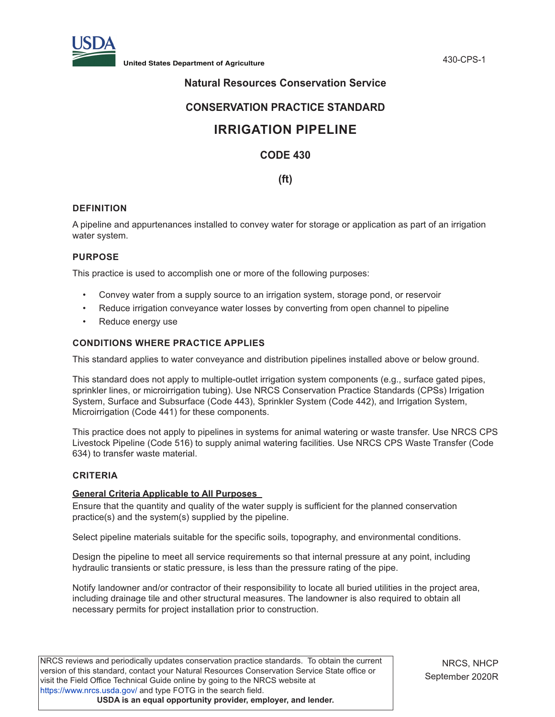

## **Natural Resources Conservation Service**

## **CONSERVATION PRACTICE STANDARD**

# **IRRIGATION PIPELINE**

## **CODE 430**

## **(ft)**

## **DEFINITION**

A pipeline and appurtenances installed to convey water for storage or application as part of an irrigation water system.

## **PURPOSE**

This practice is used to accomplish one or more of the following purposes:

- Convey water from a supply source to an irrigation system, storage pond, or reservoir
- Reduce irrigation conveyance water losses by converting from open channel to pipeline
- Reduce energy use

## **CONDITIONS WHERE PRACTICE APPLIES**

This standard applies to water conveyance and distribution pipelines installed above or below ground.

This standard does not apply to multiple-outlet irrigation system components (e.g., surface gated pipes, sprinkler lines, or microirrigation tubing). Use NRCS Conservation Practice Standards (CPSs) Irrigation System, Surface and Subsurface (Code 443), Sprinkler System (Code 442), and Irrigation System, Microirrigation (Code 441) for these components.

This practice does not apply to pipelines in systems for animal watering or waste transfer. Use NRCS CPS Livestock Pipeline (Code 516) to supply animal watering facilities. Use NRCS CPS Waste Transfer (Code 634) to transfer waste material.

## **CRITERIA**

## **General Criteria Applicable to All Purposes**

Ensure that the quantity and quality of the water supply is sufficient for the planned conservation practice(s) and the system(s) supplied by the pipeline.

Select pipeline materials suitable for the specific soils, topography, and environmental conditions.

Design the pipeline to meet all service requirements so that internal pressure at any point, including hydraulic transients or static pressure, is less than the pressure rating of the pipe.

Notify landowner and/or contractor of their responsibility to locate all buried utilities in the project area, including drainage tile and other structural measures. The landowner is also required to obtain all necessary permits for project installation prior to construction.

NRCS reviews and periodically updates conservation practice standards. To obtain the current version of this standard, contact your Natural Resources Conservation Service State office or visit the Field Office Technical Guide online by going to the NRCS website at <https://www.nrcs.usda.gov/>and type FOTG in the search field. **USDA is an equal opportunity provider, employer, and lender.**

NRCS, NHCP September 2020R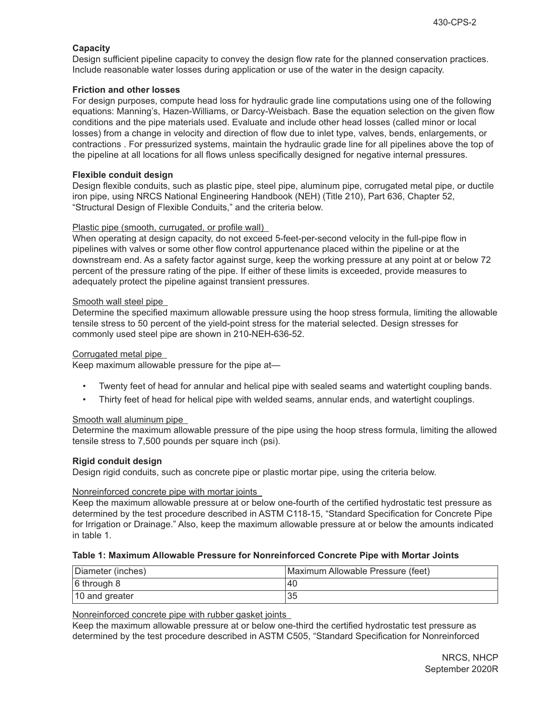## **Capacity**

Design sufficient pipeline capacity to convey the design flow rate for the planned conservation practices. Include reasonable water losses during application or use of the water in the design capacity.

## **Friction and other losses**

For design purposes, compute head loss for hydraulic grade line computations using one of the following equations: Manning's, Hazen-Williams, or Darcy-Weisbach. Base the equation selection on the given flow conditions and the pipe materials used. Evaluate and include other head losses (called minor or local losses) from a change in velocity and direction of flow due to inlet type, valves, bends, enlargements, or contractions . For pressurized systems, maintain the hydraulic grade line for all pipelines above the top of the pipeline at all locations for all flows unless specifically designed for negative internal pressures.

## **Flexible conduit design**

Design flexible conduits, such as plastic pipe, steel pipe, aluminum pipe, corrugated metal pipe, or ductile iron pipe, using NRCS National Engineering Handbook (NEH) (Title 210), Part 636, Chapter 52, "Structural Design of Flexible Conduits," and the criteria below.

## Plastic pipe (smooth, currugated, or profile wall)

When operating at design capacity, do not exceed 5-feet-per-second velocity in the full-pipe flow in pipelines with valves or some other flow control appurtenance placed within the pipeline or at the downstream end. As a safety factor against surge, keep the working pressure at any point at or below 72 percent of the pressure rating of the pipe. If either of these limits is exceeded, provide measures to adequately protect the pipeline against transient pressures.

## Smooth wall steel pipe

Determine the specified maximum allowable pressure using the hoop stress formula, limiting the allowable tensile stress to 50 percent of the yield-point stress for the material selected. Design stresses for commonly used steel pipe are shown in 210-NEH-636-52.

## Corrugated metal pipe

Keep maximum allowable pressure for the pipe at—

- Twenty feet of head for annular and helical pipe with sealed seams and watertight coupling bands.
- Thirty feet of head for helical pipe with welded seams, annular ends, and watertight couplings.

## Smooth wall aluminum pipe

Determine the maximum allowable pressure of the pipe using the hoop stress formula, limiting the allowed tensile stress to 7,500 pounds per square inch (psi).

## **Rigid conduit design**

Design rigid conduits, such as concrete pipe or plastic mortar pipe, using the criteria below.

## Nonreinforced concrete pipe with mortar joints

Keep the maximum allowable pressure at or below one-fourth of the certified hydrostatic test pressure as determined by the test procedure described in ASTM C118-15, "Standard Specification for Concrete Pipe for Irrigation or Drainage." Also, keep the maximum allowable pressure at or below the amounts indicated in table 1.

## **Table 1: Maximum Allowable Pressure for Nonreinforced Concrete Pipe with Mortar Joints**

| Diameter (inches) | Maximum Allowable Pressure (feet) |
|-------------------|-----------------------------------|
| $6$ through 8     | '40                               |
| 10 and greater    | 35                                |

Nonreinforced concrete pipe with rubber gasket joints

Keep the maximum allowable pressure at or below one-third the certified hydrostatic test pressure as determined by the test procedure described in ASTM C505, "Standard Specification for Nonreinforced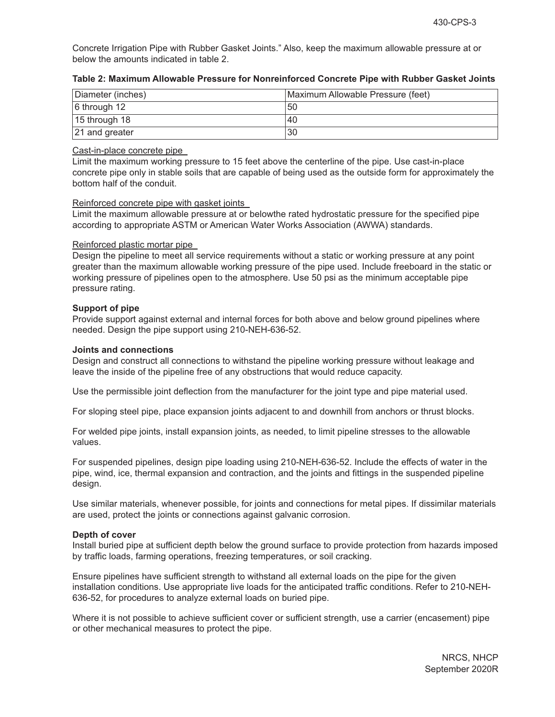Concrete Irrigation Pipe with Rubber Gasket Joints." Also, keep the maximum allowable pressure at or below the amounts indicated in table 2.

| Diameter (inches)        | Maximum Allowable Pressure (feet) |
|--------------------------|-----------------------------------|
| $ 6 \text{ through } 12$ | 50                                |
| $ 15$ through 18         | 40                                |
| $ 21$ and greater        | 30                                |

## **Table 2: Maximum Allowable Pressure for Nonreinforced Concrete Pipe with Rubber Gasket Joints**

#### Cast-in-place concrete pipe

Limit the maximum working pressure to 15 feet above the centerline of the pipe. Use cast-in-place concrete pipe only in stable soils that are capable of being used as the outside form for approximately the bottom half of the conduit.

## Reinforced concrete pipe with gasket joints

Limit the maximum allowable pressure at or belowthe rated hydrostatic pressure for the specified pipe according to appropriate ASTM or American Water Works Association (AWWA) standards.

#### Reinforced plastic mortar pipe

Design the pipeline to meet all service requirements without a static or working pressure at any point greater than the maximum allowable working pressure of the pipe used. Include freeboard in the static or working pressure of pipelines open to the atmosphere. Use 50 psi as the minimum acceptable pipe pressure rating.

#### **Support of pipe**

Provide support against external and internal forces for both above and below ground pipelines where needed. Design the pipe support using 210-NEH-636-52.

#### **Joints and connections**

Design and construct all connections to withstand the pipeline working pressure without leakage and leave the inside of the pipeline free of any obstructions that would reduce capacity.

Use the permissible joint deflection from the manufacturer for the joint type and pipe material used.

For sloping steel pipe, place expansion joints adjacent to and downhill from anchors or thrust blocks.

For welded pipe joints, install expansion joints, as needed, to limit pipeline stresses to the allowable values.

For suspended pipelines, design pipe loading using 210-NEH-636-52. Include the effects of water in the pipe, wind, ice, thermal expansion and contraction, and the joints and fittings in the suspended pipeline design.

Use similar materials, whenever possible, for joints and connections for metal pipes. If dissimilar materials are used, protect the joints or connections against galvanic corrosion.

#### **Depth of cover**

Install buried pipe at sufficient depth below the ground surface to provide protection from hazards imposed by traffic loads, farming operations, freezing temperatures, or soil cracking.

Ensure pipelines have sufficient strength to withstand all external loads on the pipe for the given installation conditions. Use appropriate live loads for the anticipated traffic conditions. Refer to 210-NEH-636-52, for procedures to analyze external loads on buried pipe.

Where it is not possible to achieve sufficient cover or sufficient strength, use a carrier (encasement) pipe or other mechanical measures to protect the pipe.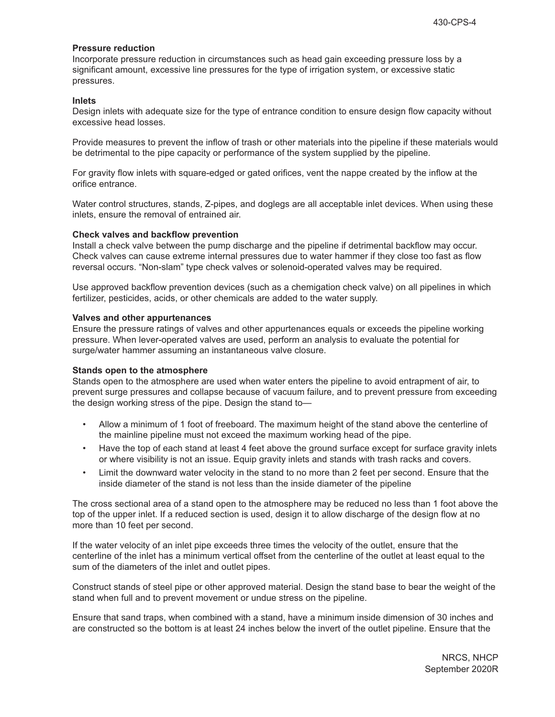#### **Pressure reduction**

Incorporate pressure reduction in circumstances such as head gain exceeding pressure loss by a significant amount, excessive line pressures for the type of irrigation system, or excessive static pressures.

#### **Inlets**

Design inlets with adequate size for the type of entrance condition to ensure design flow capacity without excessive head losses.

Provide measures to prevent the inflow of trash or other materials into the pipeline if these materials would be detrimental to the pipe capacity or performance of the system supplied by the pipeline.

For gravity flow inlets with square-edged or gated orifices, vent the nappe created by the inflow at the orifice entrance.

Water control structures, stands, Z-pipes, and doglegs are all acceptable inlet devices. When using these inlets, ensure the removal of entrained air.

#### **Check valves and backflow prevention**

Install a check valve between the pump discharge and the pipeline if detrimental backflow may occur. Check valves can cause extreme internal pressures due to water hammer if they close too fast as flow reversal occurs. "Non-slam" type check valves or solenoid-operated valves may be required.

Use approved backflow prevention devices (such as a chemigation check valve) on all pipelines in which fertilizer, pesticides, acids, or other chemicals are added to the water supply.

#### **Valves and other appurtenances**

Ensure the pressure ratings of valves and other appurtenances equals or exceeds the pipeline working pressure. When lever-operated valves are used, perform an analysis to evaluate the potential for surge/water hammer assuming an instantaneous valve closure.

## **Stands open to the atmosphere**

Stands open to the atmosphere are used when water enters the pipeline to avoid entrapment of air, to prevent surge pressures and collapse because of vacuum failure, and to prevent pressure from exceeding the design working stress of the pipe. Design the stand to—

- Allow a minimum of 1 foot of freeboard. The maximum height of the stand above the centerline of the mainline pipeline must not exceed the maximum working head of the pipe.
- Have the top of each stand at least 4 feet above the ground surface except for surface gravity inlets or where visibility is not an issue. Equip gravity inlets and stands with trash racks and covers.
- Limit the downward water velocity in the stand to no more than 2 feet per second. Ensure that the inside diameter of the stand is not less than the inside diameter of the pipeline

The cross sectional area of a stand open to the atmosphere may be reduced no less than 1 foot above the top of the upper inlet. If a reduced section is used, design it to allow discharge of the design flow at no more than 10 feet per second.

If the water velocity of an inlet pipe exceeds three times the velocity of the outlet, ensure that the centerline of the inlet has a minimum vertical offset from the centerline of the outlet at least equal to the sum of the diameters of the inlet and outlet pipes.

Construct stands of steel pipe or other approved material. Design the stand base to bear the weight of the stand when full and to prevent movement or undue stress on the pipeline.

Ensure that sand traps, when combined with a stand, have a minimum inside dimension of 30 inches and are constructed so the bottom is at least 24 inches below the invert of the outlet pipeline. Ensure that the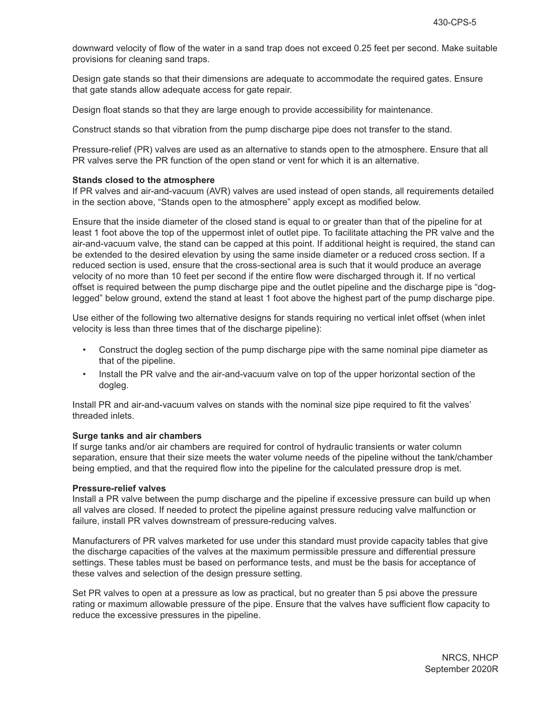downward velocity of flow of the water in a sand trap does not exceed 0.25 feet per second. Make suitable provisions for cleaning sand traps.

Design gate stands so that their dimensions are adequate to accommodate the required gates. Ensure that gate stands allow adequate access for gate repair.

Design float stands so that they are large enough to provide accessibility for maintenance.

Construct stands so that vibration from the pump discharge pipe does not transfer to the stand.

Pressure-relief (PR) valves are used as an alternative to stands open to the atmosphere. Ensure that all PR valves serve the PR function of the open stand or vent for which it is an alternative.

#### **Stands closed to the atmosphere**

If PR valves and air-and-vacuum (AVR) valves are used instead of open stands, all requirements detailed in the section above, "Stands open to the atmosphere" apply except as modified below.

Ensure that the inside diameter of the closed stand is equal to or greater than that of the pipeline for at least 1 foot above the top of the uppermost inlet of outlet pipe. To facilitate attaching the PR valve and the air-and-vacuum valve, the stand can be capped at this point. If additional height is required, the stand can be extended to the desired elevation by using the same inside diameter or a reduced cross section. If a reduced section is used, ensure that the cross-sectional area is such that it would produce an average velocity of no more than 10 feet per second if the entire flow were discharged through it. If no vertical offset is required between the pump discharge pipe and the outlet pipeline and the discharge pipe is "doglegged" below ground, extend the stand at least 1 foot above the highest part of the pump discharge pipe.

Use either of the following two alternative designs for stands requiring no vertical inlet offset (when inlet velocity is less than three times that of the discharge pipeline):

- Construct the dogleg section of the pump discharge pipe with the same nominal pipe diameter as that of the pipeline.
- Install the PR valve and the air-and-vacuum valve on top of the upper horizontal section of the dogleg.

Install PR and air-and-vacuum valves on stands with the nominal size pipe required to fit the valves' threaded inlets.

## **Surge tanks and air chambers**

If surge tanks and/or air chambers are required for control of hydraulic transients or water column separation, ensure that their size meets the water volume needs of the pipeline without the tank/chamber being emptied, and that the required flow into the pipeline for the calculated pressure drop is met.

## **Pressure-relief valves**

Install a PR valve between the pump discharge and the pipeline if excessive pressure can build up when all valves are closed. If needed to protect the pipeline against pressure reducing valve malfunction or failure, install PR valves downstream of pressure-reducing valves.

Manufacturers of PR valves marketed for use under this standard must provide capacity tables that give the discharge capacities of the valves at the maximum permissible pressure and differential pressure settings. These tables must be based on performance tests, and must be the basis for acceptance of these valves and selection of the design pressure setting.

Set PR valves to open at a pressure as low as practical, but no greater than 5 psi above the pressure rating or maximum allowable pressure of the pipe. Ensure that the valves have sufficient flow capacity to reduce the excessive pressures in the pipeline.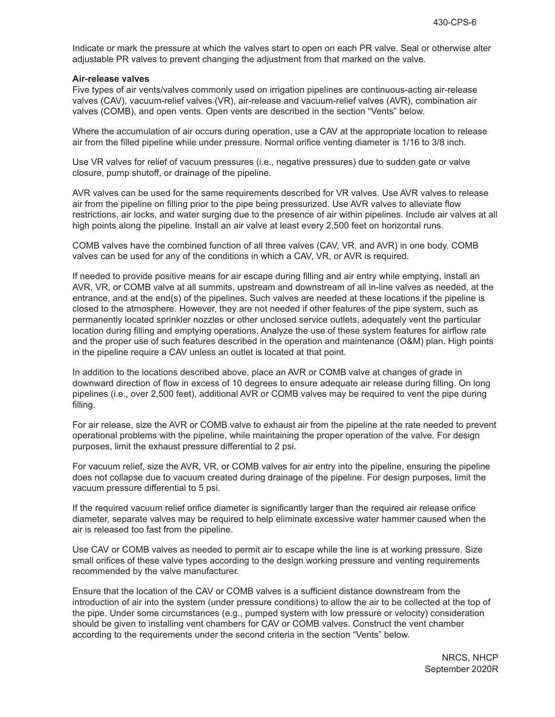Indicate or mark the pressure at which the valves start to open on each PR valve. Seal or otherwise alter adjustable PR valves to prevent changing the adjustment from that marked on the valve.

#### **Air-release valves**

Five types of air vents/valves commonly used on irrigation pipelines are continuous-acting air-release valves (CAV), vacuum-relief valves (VR), air-release and vacuum-relief valves (AVR), combination air valves (COMB), and open vents. Open vents are described in the section "Vents" below.

Where the accumulation of air occurs during operation, use a CAV at the appropriate location to release air from the filled pipeline while under pressure. Normal orifice venting diameter is 1/16 to 3/8 inch.

Use VR valves for relief of vacuum pressures (i.e., negative pressures) due to sudden gate or valve closure, pump shutoff, or drainage of the pipeline.

AVR valves can be used for the same requirements described for VR valves. Use AVR valves to release air from the pipeline on filling prior to the pipe being pressurized. Use AVR valves to alleviate flow restrictions, air locks, and water surging due to the presence of air within pipelines. Include air valves at all high points along the pipeline. Install an air valve at least every 2,500 feet on horizontal runs.

COMB valves have the combined function of all three valves (CAV, VR, and AVR) in one body. COMB valves can be used for any of the conditions in which a CAV, VR, or AVR is required.

If needed to provide positive means for air escape during filling and air entry while emptying, install an AVR, VR, or COMB valve at all summits, upstream and downstream of all in-line valves as needed, at the entrance, and at the end(s) of the pipelines. Such valves are needed at these locations if the pipeline is closed to the atmosphere. However, they are not needed if other features of the pipe system, such as permanently located sprinkler nozzles or other unclosed service outlets, adequately vent the particular location during filling and emptying operations. Analyze the use of these system features for airflow rate and the proper use of such features described in the operation and maintenance (O&M) plan. High points in the pipeline require a CAV unless an outlet is located at that point.

In addition to the locations described above, place an AVR or COMB valve at changes of grade in downward direction of flow in excess of 10 degrees to ensure adequate air release during filling. On long pipelines (i.e., over 2,500 feet), additional AVR or COMB valves may be required to vent the pipe during filling.

For air release, size the AVR or COMB valve to exhaust air from the pipeline at the rate needed to prevent operational problems with the pipeline, while maintaining the proper operation of the valve. For design purposes, limit the exhaust pressure differential to 2 psi.

For vacuum relief, size the AVR, VR, or COMB valves for air entry into the pipeline, ensuring the pipeline does not collapse due to vacuum created during drainage of the pipeline. For design purposes, limit the vacuum pressure differential to 5 psi.

If the required vacuum relief orifice diameter is significantly larger than the required air release orifice diameter, separate valves may be required to help eliminate excessive water hammer caused when the air is released too fast from the pipeline.

Use CAV or COMB valves as needed to permit air to escape while the line is at working pressure. Size small orifices of these valve types according to the design working pressure and venting requirements recommended by the valve manufacturer.

Ensure that the location of the CAV or COMB valves is a sufficient distance downstream from the introduction of air into the system (under pressure conditions) to allow the air to be collected at the top of the pipe. Under some circumstances (e.g., pumped system with low pressure or velocity) consideration should be given to installing vent chambers for CAV or COMB valves. Construct the vent chamber according to the requirements under the second criteria in the section "Vents" below.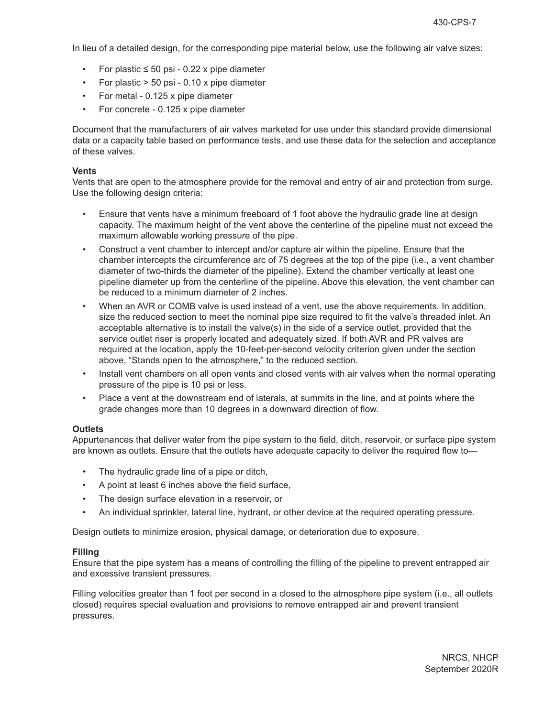In lieu of a detailed design, for the corresponding pipe material below, use the following air valve sizes:

- For plastic  $\leq 50$  psi 0.22 x pipe diameter
- For plastic > 50 psi 0.10 x pipe diameter
- For metal 0.125 x pipe diameter
- For concrete 0.125 x pipe diameter

Document that the manufacturers of air valves marketed for use under this standard provide dimensional data or a capacity table based on performance tests, and use these data for the selection and acceptance of these valves.

#### **Vents**

Vents that are open to the atmosphere provide for the removal and entry of air and protection from surge. Use the following design criteria:

- Ensure that vents have a minimum freeboard of 1 foot above the hydraulic grade line at design capacity. The maximum height of the vent above the centerline of the pipeline must not exceed the maximum allowable working pressure of the pipe.
- Construct a vent chamber to intercept and/or capture air within the pipeline. Ensure that the chamber intercepts the circumference arc of 75 degrees at the top of the pipe (i.e., a vent chamber diameter of two-thirds the diameter of the pipeline). Extend the chamber vertically at least one pipeline diameter up from the centerline of the pipeline. Above this elevation, the vent chamber can be reduced to a minimum diameter of 2 inches.
- When an AVR or COMB valve is used instead of a vent, use the above requirements. In addition, size the reduced section to meet the nominal pipe size required to fit the valve's threaded inlet. An acceptable alternative is to install the valve(s) in the side of a service outlet, provided that the service outlet riser is properly located and adequately sized. If both AVR and PR valves are required at the location, apply the 10-feet-per-second velocity criterion given under the section above, "Stands open to the atmosphere," to the reduced section.
- Install vent chambers on all open vents and closed vents with air valves when the normal operating pressure of the pipe is 10 psi or less.
- Place a vent at the downstream end of laterals, at summits in the line, and at points where the grade changes more than 10 degrees in a downward direction of flow.

## **Outlets**

Appurtenances that deliver water from the pipe system to the field, ditch, reservoir, or surface pipe system are known as outlets. Ensure that the outlets have adequate capacity to deliver the required flow to—

- The hydraulic grade line of a pipe or ditch,
- A point at least 6 inches above the field surface,
- The design surface elevation in a reservoir, or
- An individual sprinkler, lateral line, hydrant, or other device at the required operating pressure.

Design outlets to minimize erosion, physical damage, or deterioration due to exposure.

## **Filling**

Ensure that the pipe system has a means of controlling the filling of the pipeline to prevent entrapped air and excessive transient pressures.

Filling velocities greater than 1 foot per second in a closed to the atmosphere pipe system (i.e., all outlets closed) requires special evaluation and provisions to remove entrapped air and prevent transient pressures.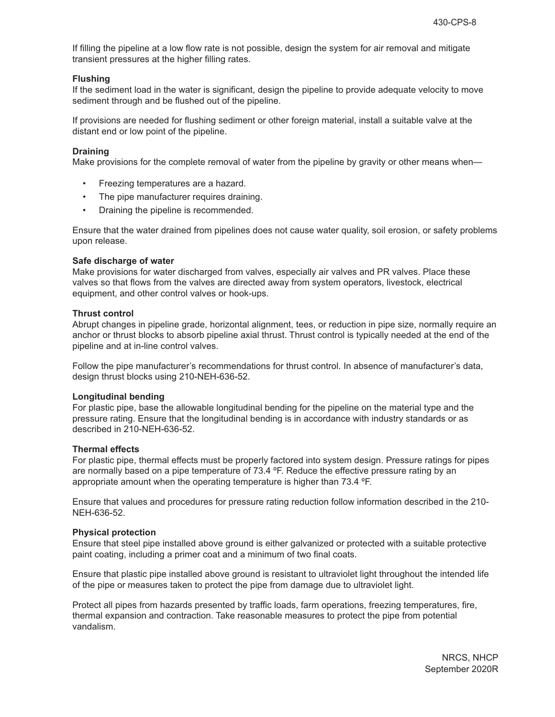If filling the pipeline at a low flow rate is not possible, design the system for air removal and mitigate transient pressures at the higher filling rates.

#### **Flushing**

If the sediment load in the water is significant, design the pipeline to provide adequate velocity to move sediment through and be flushed out of the pipeline.

If provisions are needed for flushing sediment or other foreign material, install a suitable valve at the distant end or low point of the pipeline.

#### **Draining**

Make provisions for the complete removal of water from the pipeline by gravity or other means when—

- Freezing temperatures are a hazard.
- The pipe manufacturer requires draining.
- Draining the pipeline is recommended.

Ensure that the water drained from pipelines does not cause water quality, soil erosion, or safety problems upon release.

#### **Safe discharge of water**

Make provisions for water discharged from valves, especially air valves and PR valves. Place these valves so that flows from the valves are directed away from system operators, livestock, electrical equipment, and other control valves or hook-ups.

#### **Thrust control**

Abrupt changes in pipeline grade, horizontal alignment, tees, or reduction in pipe size, normally require an anchor or thrust blocks to absorb pipeline axial thrust. Thrust control is typically needed at the end of the pipeline and at in-line control valves.

Follow the pipe manufacturer's recommendations for thrust control. In absence of manufacturer's data, design thrust blocks using 210-NEH-636-52.

#### **Longitudinal bending**

For plastic pipe, base the allowable longitudinal bending for the pipeline on the material type and the pressure rating. Ensure that the longitudinal bending is in accordance with industry standards or as described in 210-NEH-636-52.

#### **Thermal effects**

For plastic pipe, thermal effects must be properly factored into system design. Pressure ratings for pipes are normally based on a pipe temperature of 73.4 ºF. Reduce the effective pressure rating by an appropriate amount when the operating temperature is higher than 73.4 ºF.

Ensure that values and procedures for pressure rating reduction follow information described in the 210- NEH-636-52.

#### **Physical protection**

Ensure that steel pipe installed above ground is either galvanized or protected with a suitable protective paint coating, including a primer coat and a minimum of two final coats.

Ensure that plastic pipe installed above ground is resistant to ultraviolet light throughout the intended life of the pipe or measures taken to protect the pipe from damage due to ultraviolet light.

Protect all pipes from hazards presented by traffic loads, farm operations, freezing temperatures, fire, thermal expansion and contraction. Take reasonable measures to protect the pipe from potential vandalism.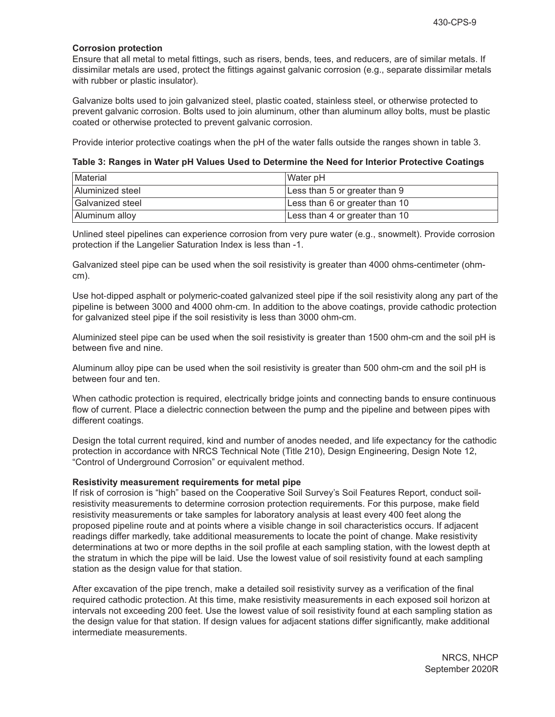## **Corrosion protection**

Ensure that all metal to metal fittings, such as risers, bends, tees, and reducers, are of similar metals. If dissimilar metals are used, protect the fittings against galvanic corrosion (e.g., separate dissimilar metals with rubber or plastic insulator).

Galvanize bolts used to join galvanized steel, plastic coated, stainless steel, or otherwise protected to prevent galvanic corrosion. Bolts used to join aluminum, other than aluminum alloy bolts, must be plastic coated or otherwise protected to prevent galvanic corrosion.

Provide interior protective coatings when the pH of the water falls outside the ranges shown in table 3.

**Table 3: Ranges in Water pH Values Used to Determine the Need for Interior Protective Coatings** 

| <b>Material</b>  | Water pH                       |
|------------------|--------------------------------|
| Aluminized steel | Less than 5 or greater than 9  |
| Galvanized steel | Less than 6 or greater than 10 |
| Aluminum alloy   | Less than 4 or greater than 10 |

Unlined steel pipelines can experience corrosion from very pure water (e.g., snowmelt). Provide corrosion protection if the Langelier Saturation Index is less than -1.

Galvanized steel pipe can be used when the soil resistivity is greater than 4000 ohms-centimeter (ohmcm).

Use hot-dipped asphalt or polymeric-coated galvanized steel pipe if the soil resistivity along any part of the pipeline is between 3000 and 4000 ohm-cm. In addition to the above coatings, provide cathodic protection for galvanized steel pipe if the soil resistivity is less than 3000 ohm-cm.

Aluminized steel pipe can be used when the soil resistivity is greater than 1500 ohm-cm and the soil pH is between five and nine.

Aluminum alloy pipe can be used when the soil resistivity is greater than 500 ohm-cm and the soil pH is between four and ten.

When cathodic protection is required, electrically bridge joints and connecting bands to ensure continuous flow of current. Place a dielectric connection between the pump and the pipeline and between pipes with different coatings.

Design the total current required, kind and number of anodes needed, and life expectancy for the cathodic protection in accordance with NRCS Technical Note (Title 210), Design Engineering, Design Note 12, "Control of Underground Corrosion" or equivalent method.

## **Resistivity measurement requirements for metal pipe**

If risk of corrosion is "high" based on the Cooperative Soil Survey's Soil Features Report, conduct soilresistivity measurements to determine corrosion protection requirements. For this purpose, make field resistivity measurements or take samples for laboratory analysis at least every 400 feet along the proposed pipeline route and at points where a visible change in soil characteristics occurs. If adjacent readings differ markedly, take additional measurements to locate the point of change. Make resistivity determinations at two or more depths in the soil profile at each sampling station, with the lowest depth at the stratum in which the pipe will be laid. Use the lowest value of soil resistivity found at each sampling station as the design value for that station.

After excavation of the pipe trench, make a detailed soil resistivity survey as a verification of the final required cathodic protection. At this time, make resistivity measurements in each exposed soil horizon at intervals not exceeding 200 feet. Use the lowest value of soil resistivity found at each sampling station as the design value for that station. If design values for adjacent stations differ significantly, make additional intermediate measurements.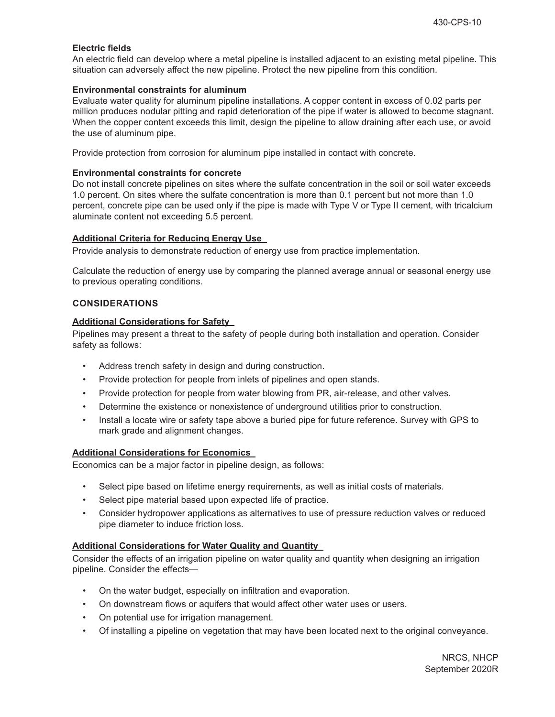## **Electric fields**

An electric field can develop where a metal pipeline is installed adjacent to an existing metal pipeline. This situation can adversely affect the new pipeline. Protect the new pipeline from this condition.

## **Environmental constraints for aluminum**

Evaluate water quality for aluminum pipeline installations. A copper content in excess of 0.02 parts per million produces nodular pitting and rapid deterioration of the pipe if water is allowed to become stagnant. When the copper content exceeds this limit, design the pipeline to allow draining after each use, or avoid the use of aluminum pipe.

Provide protection from corrosion for aluminum pipe installed in contact with concrete.

## **Environmental constraints for concrete**

Do not install concrete pipelines on sites where the sulfate concentration in the soil or soil water exceeds 1.0 percent. On sites where the sulfate concentration is more than 0.1 percent but not more than 1.0 percent, concrete pipe can be used only if the pipe is made with Type V or Type II cement, with tricalcium aluminate content not exceeding 5.5 percent.

## **Additional Criteria for Reducing Energy Use**

Provide analysis to demonstrate reduction of energy use from practice implementation.

Calculate the reduction of energy use by comparing the planned average annual or seasonal energy use to previous operating conditions.

## **CONSIDERATIONS**

## **Additional Considerations for Safety**

Pipelines may present a threat to the safety of people during both installation and operation. Consider safety as follows:

- Address trench safety in design and during construction.
- Provide protection for people from inlets of pipelines and open stands.
- Provide protection for people from water blowing from PR, air-release, and other valves.
- Determine the existence or nonexistence of underground utilities prior to construction.
- Install a locate wire or safety tape above a buried pipe for future reference. Survey with GPS to mark grade and alignment changes.

## **Additional Considerations for Economics**

Economics can be a major factor in pipeline design, as follows:

- Select pipe based on lifetime energy requirements, as well as initial costs of materials.
- Select pipe material based upon expected life of practice.
- Consider hydropower applications as alternatives to use of pressure reduction valves or reduced pipe diameter to induce friction loss.

## **Additional Considerations for Water Quality and Quantity**

Consider the effects of an irrigation pipeline on water quality and quantity when designing an irrigation pipeline. Consider the effects—

- On the water budget, especially on infiltration and evaporation.
- On downstream flows or aquifers that would affect other water uses or users.
- On potential use for irrigation management.
- Of installing a pipeline on vegetation that may have been located next to the original conveyance.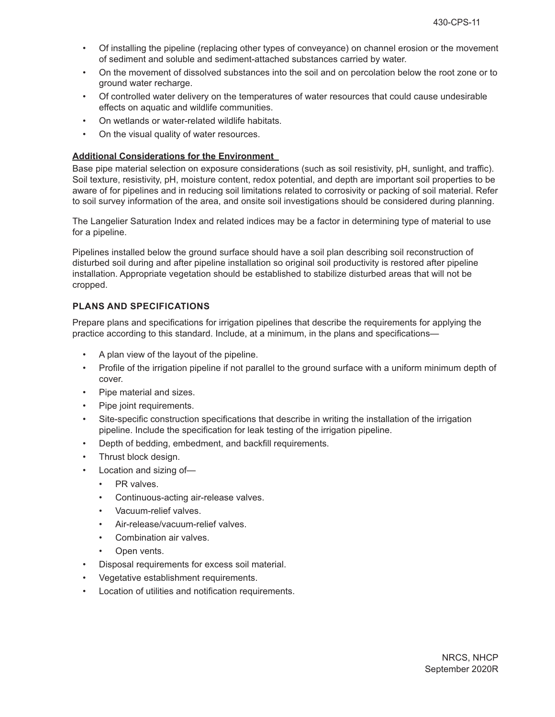- Of installing the pipeline (replacing other types of conveyance) on channel erosion or the movement of sediment and soluble and sediment-attached substances carried by water.
- On the movement of dissolved substances into the soil and on percolation below the root zone or to ground water recharge.
- Of controlled water delivery on the temperatures of water resources that could cause undesirable effects on aquatic and wildlife communities.
- On wetlands or water-related wildlife habitats.
- On the visual quality of water resources.

## **Additional Considerations for the Environment**

Base pipe material selection on exposure considerations (such as soil resistivity, pH, sunlight, and traffic). Soil texture, resistivity, pH, moisture content, redox potential, and depth are important soil properties to be aware of for pipelines and in reducing soil limitations related to corrosivity or packing of soil material. Refer to soil survey information of the area, and onsite soil investigations should be considered during planning.

The Langelier Saturation Index and related indices may be a factor in determining type of material to use for a pipeline.

Pipelines installed below the ground surface should have a soil plan describing soil reconstruction of disturbed soil during and after pipeline installation so original soil productivity is restored after pipeline installation. Appropriate vegetation should be established to stabilize disturbed areas that will not be cropped.

## **PLANS AND SPECIFICATIONS**

Prepare plans and specifications for irrigation pipelines that describe the requirements for applying the practice according to this standard. Include, at a minimum, in the plans and specifications—

- A plan view of the layout of the pipeline.
- Profile of the irrigation pipeline if not parallel to the ground surface with a uniform minimum depth of cover.
- Pipe material and sizes.
- Pipe joint requirements.
- Site-specific construction specifications that describe in writing the installation of the irrigation pipeline. Include the specification for leak testing of the irrigation pipeline.
- Depth of bedding, embedment, and backfill requirements.
- Thrust block design.
- Location and sizing of-
	- PR valves.
	- Continuous-acting air-release valves.
	- Vacuum-relief valves.
	- Air-release/vacuum-relief valves.
	- Combination air valves.
	- Open vents.
- Disposal requirements for excess soil material.
- Vegetative establishment requirements.
- Location of utilities and notification requirements.